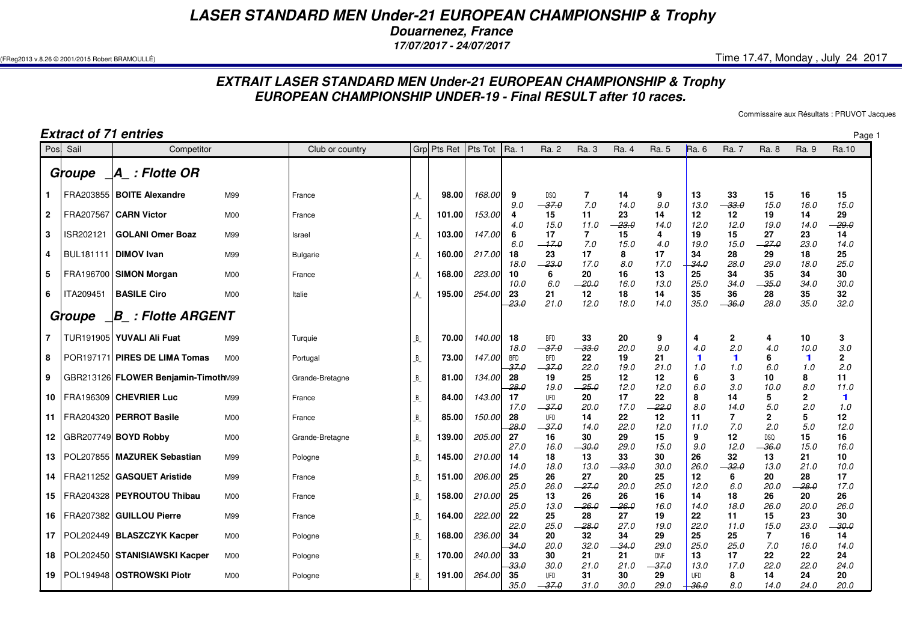## *LASER STANDARD MEN Under-21 EUROPEAN CHAMPIONSHIP & Trophy*

*Douarnenez, France*

*17/07/2017 - 24/07/2017*

 $($ FReg2013 v.8.26 © 2001/2015 Robert BRAMOULLÉ)  $\,$  Time 17.47, Monday , July 24 2017

## *EXTRAIT LASER STANDARD MEN Under-21 EUROPEAN CHAMPIONSHIP & TrophyEUROPEAN CHAMPIONSHIP UNDER-19 - Final RESULT after 10 races.*

Commissaire aux Résultats : PRUVOT Jacques

| Extract of 71 entries |           |                                     |                |                 |                        |             |                       |                       |                        |                       | Page               |                       |                             |                       |                       |                       |                             |
|-----------------------|-----------|-------------------------------------|----------------|-----------------|------------------------|-------------|-----------------------|-----------------------|------------------------|-----------------------|--------------------|-----------------------|-----------------------------|-----------------------|-----------------------|-----------------------|-----------------------------|
| Posl                  | Sail      | Competitor                          |                | Club or country |                        | Grp Pts Ret | $\varepsilon$ Pts Tot | Ra. 1                 | Ra. 2                  | Ra. 3                 | Ra. 4              | Ra. 5                 | Ra. 6                       | Ra. 7                 | Ra. 8                 | Ra. 9                 | Ra.10                       |
|                       | Groupe    | $\mathcal{A}\_$ : Flotte OR         |                |                 |                        |             |                       |                       |                        |                       |                    |                       |                             |                       |                       |                       |                             |
| 1.                    |           | FRA203855   BOITE Alexandre         | M99            | France          | A                      | 98.00       | 168.00                | 9<br>9.0              | <b>DSQ</b><br>$-37.0$  | $\overline{7}$<br>7.0 | 14<br>14.0         | 9<br>9.0              | 13<br>13.0                  | 33<br>$-33.0$         | 15<br>15.0            | 16<br>16.0            | 15<br>15.0                  |
| $\mathbf{2}$          | FRA207567 | <b>CARN Victor</b>                  | <b>M00</b>     | France          | $\mathsf{A}\mathsf{ }$ | 101.00      | 153.00                | 4<br>4.0              | 15<br>15.0             | 11<br>11.0            | 23<br>$-23.0$      | 14<br>14.0            | 12<br>12.0                  | 12<br>12.0            | 19<br>19.0            | 14<br>14.0            | 29<br>$-29.0$               |
| 3                     | ISR202121 | <b>GOLANI Omer Boaz</b>             | M99            | Israel          | $\mathsf{A}\mathsf{ }$ | 103.00      | 147.00                | 6<br>6.0              | 17<br>$-17.0$          | $\overline{7}$<br>7.0 | 15<br>15.0         | 4<br>4.0              | 19<br>19.0                  | 15<br>15.0            | 27<br>$-27.0$         | 23<br>23.0            | 14<br>14.0                  |
| 4                     |           | BUL181111   DIMOV Ivan              | M99            | <b>Bulgarie</b> | A_                     | 160.00      | 217.00                | 18<br>18.0            | 23<br>$-23.0$          | 17<br>17.0            | 8<br>8.0           | 17<br>17.0            | 34<br>$-34.0$               | 28<br>28.0            | 29<br>29.0            | 18<br>18.0            | 25<br>25.0                  |
| 5                     |           | FRA196700   SIMON Morgan            | M <sub>0</sub> | France          | A                      | 168.00      | 223.00                | 10<br>10.0            | 6<br>6.0               | 20<br>- 20.0          | 16<br>16.0         | 13<br>13.0            | 25<br>25.0                  | 34<br>34.0            | 35<br>-35.0           | 34<br>34.0            | 30<br>30.0                  |
| 6                     | ITA209451 | <b>BASILE Ciro</b>                  | M <sub>0</sub> | Italie          | $\mathsf{A}\mathsf{ }$ | 195.00      | 254.00                | 23<br>-23.0           | 21<br>21.0             | 12<br>12.0            | 18<br>18.0         | 14<br>14.0            | 35<br>35.0                  | 36<br>$-36.0$         | 28<br>28.0            | 35<br>35.0            | 32<br>32.0                  |
|                       | Groupe    | $\Box B_$ : Flotte ARGENT           |                |                 |                        |             |                       |                       |                        |                       |                    |                       |                             |                       |                       |                       |                             |
| $\overline{7}$        |           | TUR191905   YUVALI Ali Fuat         | M99            | Turquie         | $B_{-}$                | 70.00       | 140.00                | 18<br>18.0            | <b>BFD</b><br>$-37.0$  | 33<br>$-33.0$         | 20<br>20.0         | 9<br>9.0              | 4<br>4.0                    | $\mathbf{2}$<br>2.0   | 4<br>4.0              | 10<br>10.0            | 3<br>3.0                    |
| 8                     |           | POR197171 PIRES DE LIMA Tomas       | <b>M00</b>     | Portugal        | $B_{-}$                | 73.00       | 147.00                | <b>BFD</b><br>37.0    | <b>BFD</b><br>$-37.0$  | 22<br>22.0            | 19<br>19.0         | 21<br>21.0            | $\blacktriangleleft$<br>1.0 | $\blacksquare$<br>1.0 | 6<br>6.0              | $\blacksquare$<br>1.0 | 2<br>2.0                    |
| 9                     |           | GBR213126 FLOWER Benjamin-TimothM99 |                | Grande-Bretagne | $B_{-}$                | 81.00       | 134.00                | 28<br>28.0            | 19<br>19.0             | 25<br>$-25.0$         | 12<br>12.0         | 12<br>12.0            | 6<br>6.0                    | 3<br>3.0              | 10<br>10.0            | 8<br>8.0              | 11<br>11.0                  |
| 10                    |           | FRA196309 CHEVRIER Luc              | M99            | France          | $B_{-}$                | 84.00       | 143.00                | 17<br>17.0            | <b>UFD</b><br>$-37.0$  | 20<br>20.0            | 17<br>17.0         | 22<br>$-22.0$         | 8<br>8.0                    | 14<br>14.0            | 5<br>5.0              | 2<br>2.0              | $\blacktriangleleft$<br>1.0 |
| 11                    |           | FRA204320   PERROT Basile           | M <sub>0</sub> | France          | $B_{-}$                | 85.00       | 150.00                | 28<br>$-28.0$         | UFD<br>$-37.0$         | 14<br>14.0            | 22<br>22.0         | 12<br>12.0            | 11<br>11.0                  | $\overline{7}$<br>7.0 | $\mathbf{2}$<br>2.0   | 5<br>5.0              | 12<br>12.0                  |
| 12                    |           | GBR207749 BOYD Robby                | M <sub>0</sub> | Grande-Bretagne | $B_{-}$                | 139.00      | 205.00                | 27<br>27.0            | 16<br>16.0             | 30<br>$-30.0$         | 29<br>29.0         | 15<br>15.0            | 9<br>9.0                    | 12<br>12.0            | <b>DSQ</b><br>$-36.0$ | 15<br>15.0            | 16<br>16.0                  |
| 13                    |           | POL207855   MAZUREK Sebastian       | M99            | Pologne         | B                      | 145.00      | 210.00                | 14<br>14.0            | 18<br>18.0             | 13<br>13.0            | 33<br>33.0         | 30<br>30.0            | 26<br>26.0                  | 32<br>$-32.0$         | 13<br>13.0            | 21<br>21.0            | 10<br>10.0                  |
| 14                    |           | FRA211252   GASQUET Aristide        | M99            | France          | В                      | 151.00      | 206.00                | 25<br>25.0            | 26<br>26.0             | 27<br>$-27.0$         | 20<br>20.0         | 25<br>25.0            | 12<br>12.0                  | 6<br>6.0              | 20<br>20.0            | 28<br>$-28.0$         | 17<br>17.0                  |
| 15                    |           | FRA204328   PEYROUTOU Thibau        | M <sub>0</sub> | France          | $B_{-}$                | 158.00      | 210.00                | 25<br>25.0            | 13                     | 26<br>$-26.0$         | 26<br>$-26.0$      | 16<br>16.0            | 14<br>14.0                  | 18<br>18.0            | 26<br>26.0            | 20<br>20.0            | 26<br>26.0                  |
| 16                    |           | FRA207382   GUILLOU Pierre          | M99            | France          | $B_{-}$                | 164.00      | 222.00                | 22<br>22.0            | 13.0<br>25<br>25.0     | 28<br>$-28.0$         | 27<br>27.0         | 19<br>19.0            | 22<br>22.0                  | 11                    | 15<br>15.0            | 23<br>23.0            | 30<br>$-30.0$               |
| 17                    |           | POL202449   BLASZCZYK Kacper        | M <sub>0</sub> | Pologne         | $B_{-}$                | 168.00      | 236.00                | 34                    | 20                     | 32                    | 34                 | 29                    | 25                          | 11.0<br>25            | 7                     | 16                    | 14                          |
| 18                    |           | POL202450   STANISIAWSKI Kacper     | M <sub>0</sub> | Pologne         | В                      | 170.00      | <i>240.00</i>         | 34.0<br>33            | 20.0<br>30             | 32.0<br>21            | $-34.0$<br>21      | 29.0<br><b>DNF</b>    | 25.0<br>13                  | 25.0<br>17            | 7.0<br>22             | 16.0<br>22            | 14.0<br>24                  |
| 19                    |           | POL194948   OSTROWSKI Piotr         | <b>M00</b>     | Pologne         | В                      | 191.00      | 264.00                | $-33.0$<br>35<br>35.0 | 30.0<br>UFD<br>$-37.0$ | 21.0<br>31<br>31.0    | 21.0<br>30<br>30.0 | $-37.0$<br>29<br>29.0 | 13.0<br><b>UFD</b><br>36.0  | 17.0<br>8<br>8.0      | 22.0<br>14<br>14.0    | 22.0<br>24<br>24.0    | 24.0<br>20<br>20.0          |